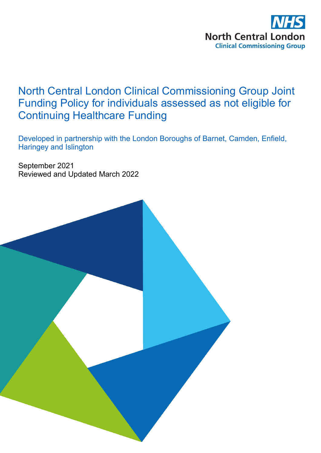

# North Central London Clinical Commissioning Group Joint Funding Policy for individuals assessed as not eligible for Continuing Healthcare Funding

Developed in partnership with the London Boroughs of Barnet, Camden, Enfield, Haringey and Islington

September 2021 Reviewed and Updated March 2022

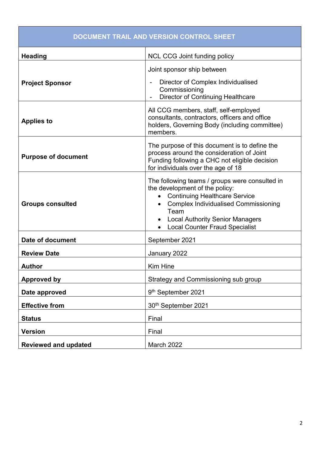| DOCUMENT TRAIL AND VERSION CONTROL SHEET |                                                                                                                                                                                                                                                                                 |  |  |  |  |
|------------------------------------------|---------------------------------------------------------------------------------------------------------------------------------------------------------------------------------------------------------------------------------------------------------------------------------|--|--|--|--|
| <b>Heading</b>                           | <b>NCL CCG Joint funding policy</b>                                                                                                                                                                                                                                             |  |  |  |  |
| <b>Project Sponsor</b>                   | Joint sponsor ship between<br>Director of Complex Individualised<br>Commissioning<br><b>Director of Continuing Healthcare</b>                                                                                                                                                   |  |  |  |  |
| <b>Applies to</b>                        | All CCG members, staff, self-employed<br>consultants, contractors, officers and office<br>holders, Governing Body (including committee)<br>members.                                                                                                                             |  |  |  |  |
| <b>Purpose of document</b>               | The purpose of this document is to define the<br>process around the consideration of Joint<br>Funding following a CHC not eligible decision<br>for individuals over the age of 18                                                                                               |  |  |  |  |
| <b>Groups consulted</b>                  | The following teams / groups were consulted in<br>the development of the policy:<br><b>Continuing Healthcare Service</b><br><b>Complex Individualised Commissioning</b><br>Team<br><b>Local Authority Senior Managers</b><br>$\bullet$<br><b>Local Counter Fraud Specialist</b> |  |  |  |  |
| Date of document                         | September 2021                                                                                                                                                                                                                                                                  |  |  |  |  |
| <b>Review Date</b>                       | January 2022                                                                                                                                                                                                                                                                    |  |  |  |  |
| <b>Author</b>                            | <b>Kim Hine</b>                                                                                                                                                                                                                                                                 |  |  |  |  |
| <b>Approved by</b>                       | Strategy and Commissioning sub group                                                                                                                                                                                                                                            |  |  |  |  |
| Date approved                            | 9 <sup>th</sup> September 2021                                                                                                                                                                                                                                                  |  |  |  |  |
| <b>Effective from</b>                    | 30th September 2021                                                                                                                                                                                                                                                             |  |  |  |  |
| <b>Status</b>                            | Final                                                                                                                                                                                                                                                                           |  |  |  |  |
| <b>Version</b>                           | Final                                                                                                                                                                                                                                                                           |  |  |  |  |
| <b>Reviewed and updated</b>              | March 2022                                                                                                                                                                                                                                                                      |  |  |  |  |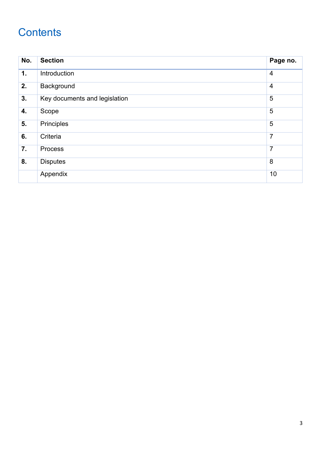# **Contents**

| No. | <b>Section</b>                | Page no.       |
|-----|-------------------------------|----------------|
| 1.  | Introduction                  | $\overline{4}$ |
| 2.  | Background                    | $\overline{4}$ |
| 3.  | Key documents and legislation | 5              |
| 4.  | Scope                         | 5              |
| 5.  | Principles                    | 5              |
| 6.  | Criteria                      | $\overline{7}$ |
| 7.  | Process                       | $\overline{7}$ |
| 8.  | <b>Disputes</b>               | 8              |
|     | Appendix                      | 10             |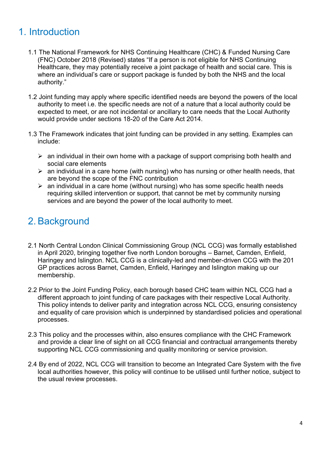## 1. Introduction

- 1.1 The National Framework for NHS Continuing Healthcare (CHC) & Funded Nursing Care (FNC) October 2018 (Revised) states "If a person is not eligible for NHS Continuing Healthcare, they may potentially receive a joint package of health and social care. This is where an individual's care or support package is funded by both the NHS and the local authority."
- 1.2 Joint funding may apply where specific identified needs are beyond the powers of the local authority to meet i.e. the specific needs are not of a nature that a local authority could be expected to meet, or are not incidental or ancillary to care needs that the Local Authority would provide under sections 18-20 of the Care Act 2014.
- 1.3 The Framework indicates that joint funding can be provided in any setting. Examples can include:
	- $\geq$  an individual in their own home with a package of support comprising both health and social care elements
	- $\triangleright$  an individual in a care home (with nursing) who has nursing or other health needs, that are beyond the scope of the FNC contribution
	- $\triangleright$  an individual in a care home (without nursing) who has some specific health needs requiring skilled intervention or support, that cannot be met by community nursing services and are beyond the power of the local authority to meet.

## 2. Background

- 2.1 North Central London Clinical Commissioning Group (NCL CCG) was formally established in April 2020, bringing together five north London boroughs – Barnet, Camden, Enfield, Haringey and Islington. NCL CCG is a clinically-led and member-driven CCG with the 201 GP practices across Barnet, Camden, Enfield, Haringey and Islington making up our membership.
- 2.2 Prior to the Joint Funding Policy, each borough based CHC team within NCL CCG had a different approach to joint funding of care packages with their respective Local Authority. This policy intends to deliver parity and integration across NCL CCG, ensuring consistency and equality of care provision which is underpinned by standardised policies and operational processes.
- 2.3 This policy and the processes within, also ensures compliance with the CHC Framework and provide a clear line of sight on all CCG financial and contractual arrangements thereby supporting NCL CCG commissioning and quality monitoring or service provision.
- 2.4 By end of 2022, NCL CCG will transition to become an Integrated Care System with the five local authorities however, this policy will continue to be utilised until further notice, subject to the usual review processes.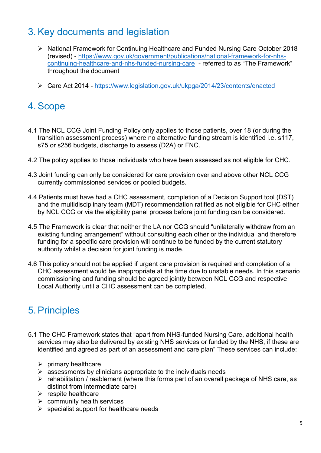### 3. Key documents and legislation

- ▶ National Framework for Continuing Healthcare and Funded Nursing Care October 2018 (revised) - [https://www.gov.uk/government/publications/national-framework-for-nhs](https://www.gov.uk/government/publications/national-framework-for-nhs-continuing-healthcare-and-nhs-funded-nursing-care)[continuing-healthcare-and-nhs-funded-nursing-care](https://www.gov.uk/government/publications/national-framework-for-nhs-continuing-healthcare-and-nhs-funded-nursing-care) - referred to as "The Framework" throughout the document
- Care Act 2014 <https://www.legislation.gov.uk/ukpga/2014/23/contents/enacted>

### 4. Scope

- 4.1 The NCL CCG Joint Funding Policy only applies to those patients, over 18 (or during the transition assessment process) where no alternative funding stream is identified i.e. s117, s75 or s256 budgets, discharge to assess (D2A) or FNC.
- 4.2 The policy applies to those individuals who have been assessed as not eligible for CHC.
- 4.3 Joint funding can only be considered for care provision over and above other NCL CCG currently commissioned services or pooled budgets.
- 4.4 Patients must have had a CHC assessment, completion of a Decision Support tool (DST) and the multidisciplinary team (MDT) recommendation ratified as not eligible for CHC either by NCL CCG or via the eligibility panel process before joint funding can be considered.
- 4.5 The Framework is clear that neither the LA nor CCG should "unilaterally withdraw from an existing funding arrangement" without consulting each other or the individual and therefore funding for a specific care provision will continue to be funded by the current statutory authority whilst a decision for joint funding is made.
- 4.6 This policy should not be applied if urgent care provision is required and completion of a CHC assessment would be inappropriate at the time due to unstable needs. In this scenario commissioning and funding should be agreed jointly between NCL CCG and respective Local Authority until a CHC assessment can be completed.

#### 5. Principles

- 5.1 The CHC Framework states that "apart from NHS-funded Nursing Care, additional health services may also be delivered by existing NHS services or funded by the NHS, if these are identified and agreed as part of an assessment and care plan" These services can include:
	- $\triangleright$  primary healthcare
	- $\triangleright$  assessments by clinicians appropriate to the individuals needs
	- $\triangleright$  rehabilitation / reablement (where this forms part of an overall package of NHS care, as distinct from intermediate care)
	- $\triangleright$  respite healthcare
	- $\triangleright$  community health services
	- $\triangleright$  specialist support for healthcare needs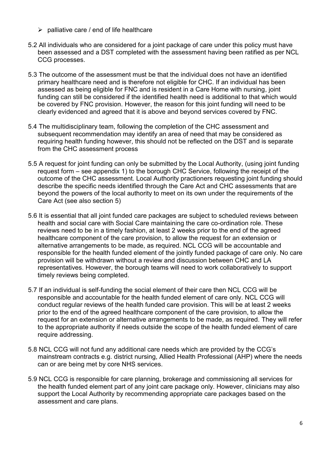- $\triangleright$  palliative care / end of life healthcare
- 5.2 All individuals who are considered for a joint package of care under this policy must have been assessed and a DST completed with the assessment having been ratified as per NCL CCG processes.
- 5.3 The outcome of the assessment must be that the individual does not have an identified primary healthcare need and is therefore not eligible for CHC. If an individual has been assessed as being eligible for FNC and is resident in a Care Home with nursing, joint funding can still be considered if the identified health need is additional to that which would be covered by FNC provision. However, the reason for this joint funding will need to be clearly evidenced and agreed that it is above and beyond services covered by FNC.
- 5.4 The multidisciplinary team, following the completion of the CHC assessment and subsequent recommendation may identify an area of need that may be considered as requiring health funding however, this should not be reflected on the DST and is separate from the CHC assessment process
- 5.5 A request for joint funding can only be submitted by the Local Authority, (using joint funding request form – see appendix 1) to the borough CHC Service, following the receipt of the outcome of the CHC assessment. Local Authority practioners requesting joint funding should describe the specific needs identified through the Care Act and CHC assessments that are beyond the powers of the local authority to meet on its own under the requirements of the Care Act (see also section 5)
- 5.6 It is essential that all joint funded care packages are subject to scheduled reviews between health and social care with Social Care maintaining the care co-ordination role. These reviews need to be in a timely fashion, at least 2 weeks prior to the end of the agreed healthcare component of the care provision, to allow the request for an extension or alternative arrangements to be made, as required. NCL CCG will be accountable and responsible for the health funded element of the jointly funded package of care only. No care provision will be withdrawn without a review and discussion between CHC and LA representatives. However, the borough teams will need to work collaboratively to support timely reviews being completed.
- 5.7 If an individual is self-funding the social element of their care then NCL CCG will be responsible and accountable for the health funded element of care only. NCL CCG will conduct regular reviews of the health funded care provision. This will be at least 2 weeks prior to the end of the agreed healthcare component of the care provision, to allow the request for an extension or alternative arrangements to be made, as required. They will refer to the appropriate authority if needs outside the scope of the health funded element of care require addressing.
- 5.8 NCL CCG will not fund any additional care needs which are provided by the CCG's mainstream contracts e.g. district nursing, Allied Health Professional (AHP) where the needs can or are being met by core NHS services.
- 5.9 NCL CCG is responsible for care planning, brokerage and commissioning all services for the health funded element part of any joint care package only. However, clinicians may also support the Local Authority by recommending appropriate care packages based on the assessment and care plans.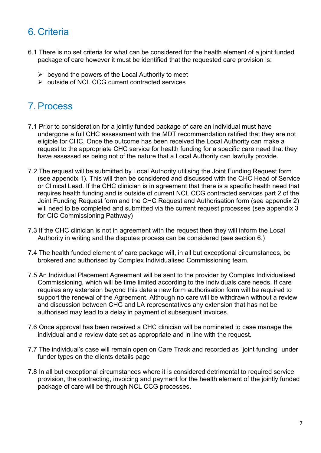### 6. Criteria

- 6.1 There is no set criteria for what can be considered for the health element of a joint funded package of care however it must be identified that the requested care provision is:
	- $\triangleright$  beyond the powers of the Local Authority to meet
	- $\triangleright$  outside of NCL CCG current contracted services

## 7. Process

- 7.1 Prior to consideration for a jointly funded package of care an individual must have undergone a full CHC assessment with the MDT recommendation ratified that they are not eligible for CHC. Once the outcome has been received the Local Authority can make a request to the appropriate CHC service for health funding for a specific care need that they have assessed as being not of the nature that a Local Authority can lawfully provide.
- 7.2 The request will be submitted by Local Authority utilising the Joint Funding Request form (see appendix 1). This will then be considered and discussed with the CHC Head of Service or Clinical Lead. If the CHC clinician is in agreement that there is a specific health need that requires health funding and is outside of current NCL CCG contracted services part 2 of the Joint Funding Request form and the CHC Request and Authorisation form (see appendix 2) will need to be completed and submitted via the current request processes (see appendix 3 for CIC Commissioning Pathway)
- 7.3 If the CHC clinician is not in agreement with the request then they will inform the Local Authority in writing and the disputes process can be considered (see section 6.)
- 7.4 The health funded element of care package will, in all but exceptional circumstances, be brokered and authorised by Complex Individualised Commissioning team.
- 7.5 An Individual Placement Agreement will be sent to the provider by Complex Individualised Commissioning, which will be time limited according to the individuals care needs. If care requires any extension beyond this date a new form authorisation form will be required to support the renewal of the Agreement. Although no care will be withdrawn without a review and discussion between CHC and LA representatives any extension that has not be authorised may lead to a delay in payment of subsequent invoices.
- 7.6 Once approval has been received a CHC clinician will be nominated to case manage the individual and a review date set as appropriate and in line with the request.
- 7.7 The individual's case will remain open on Care Track and recorded as "joint funding" under funder types on the clients details page
- 7.8 In all but exceptional circumstances where it is considered detrimental to required service provision, the contracting, invoicing and payment for the health element of the jointly funded package of care will be through NCL CCG processes.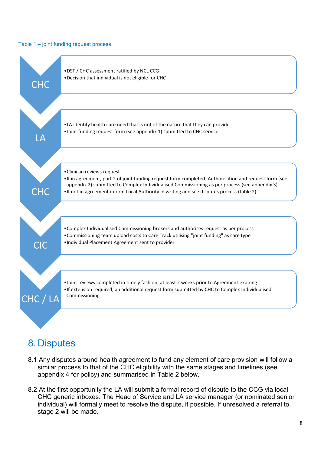#### Table 1 – joint funding request process



#### 8. Disputes

- 8.1 Any disputes around health agreement to fund any element of care provision will follow a similar process to that of the CHC eligibility with the same stages and timelines (see appendix 4 for policy) and summarised in Table 2 below.
- 8.2 At the first opportunity the LA will submit a formal record of dispute to the CCG via local CHC generic inboxes. The Head of Service and LA service manager (or nominated senior individual) will formally meet to resolve the dispute, if possible. If unresolved a referral to stage 2 will be made.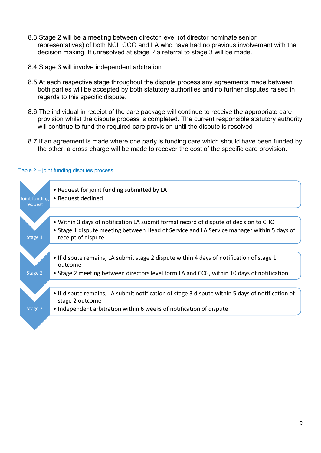- 8.3 Stage 2 will be a meeting between director level (of director nominate senior representatives) of both NCL CCG and LA who have had no previous involvement with the decision making. If unresolved at stage 2 a referral to stage 3 will be made.
- 8.4 Stage 3 will involve independent arbitration
- 8.5 At each respective stage throughout the dispute process any agreements made between both parties will be accepted by both statutory authorities and no further disputes raised in regards to this specific dispute.
- 8.6 The individual in receipt of the care package will continue to receive the appropriate care provision whilst the dispute process is completed. The current responsible statutory authority will continue to fund the required care provision until the dispute is resolved
- 8.7 If an agreement is made where one party is funding care which should have been funded by the other, a cross charge will be made to recover the cost of the specific care provision.

| Joint funding<br>request | • Request for joint funding submitted by LA<br>• Request declined                                                                                                                                        |
|--------------------------|----------------------------------------------------------------------------------------------------------------------------------------------------------------------------------------------------------|
| Stage 1                  | • Within 3 days of notification LA submit formal record of dispute of decision to CHC<br>• Stage 1 dispute meeting between Head of Service and LA Service manager within 5 days of<br>receipt of dispute |
| Stage 2                  | • If dispute remains, LA submit stage 2 dispute within 4 days of notification of stage 1<br>outcome<br>• Stage 2 meeting between directors level form LA and CCG, within 10 days of notification         |
| Stage 3                  | • If dispute remains, LA submit notification of stage 3 dispute within 5 days of notification of<br>stage 2 outcome<br>• Independent arbitration within 6 weeks of notification of dispute               |
|                          |                                                                                                                                                                                                          |

#### Table 2 – joint funding disputes process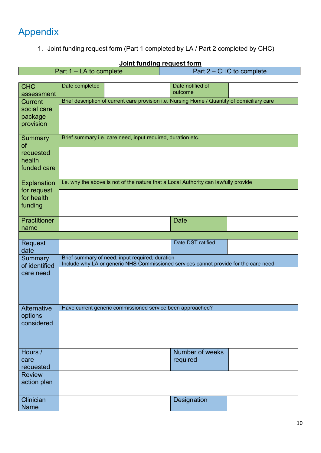# Appendix

1. Joint funding request form (Part 1 completed by LA / Part 2 completed by CHC)

| Part 1 – LA to complete    |                                                                                     |  |                                                                                              | Part 2 – CHC to complete |  |
|----------------------------|-------------------------------------------------------------------------------------|--|----------------------------------------------------------------------------------------------|--------------------------|--|
|                            |                                                                                     |  |                                                                                              |                          |  |
| <b>CHC</b><br>assessment   | Date completed                                                                      |  | Date notified of<br>outcome                                                                  |                          |  |
| <b>Current</b>             |                                                                                     |  | Brief description of current care provision i.e. Nursing Home / Quantity of domiciliary care |                          |  |
| social care                |                                                                                     |  |                                                                                              |                          |  |
| package                    |                                                                                     |  |                                                                                              |                          |  |
| provision                  |                                                                                     |  |                                                                                              |                          |  |
| <b>Summary</b>             | Brief summary i.e. care need, input required, duration etc.                         |  |                                                                                              |                          |  |
| of                         |                                                                                     |  |                                                                                              |                          |  |
| requested<br>health        |                                                                                     |  |                                                                                              |                          |  |
| funded care                |                                                                                     |  |                                                                                              |                          |  |
|                            |                                                                                     |  |                                                                                              |                          |  |
| Explanation<br>for request | i.e. why the above is not of the nature that a Local Authority can lawfully provide |  |                                                                                              |                          |  |
| for health                 |                                                                                     |  |                                                                                              |                          |  |
| funding                    |                                                                                     |  |                                                                                              |                          |  |
| <b>Practitioner</b>        |                                                                                     |  | <b>Date</b>                                                                                  |                          |  |
| name                       |                                                                                     |  |                                                                                              |                          |  |
|                            |                                                                                     |  |                                                                                              |                          |  |
| Request<br>date            |                                                                                     |  | Date DST ratified                                                                            |                          |  |
| Summary                    |                                                                                     |  |                                                                                              |                          |  |
| of identified              |                                                                                     |  | Include why LA or generic NHS Commissioned services cannot provide for the care need         |                          |  |
| care need                  |                                                                                     |  |                                                                                              |                          |  |
|                            |                                                                                     |  |                                                                                              |                          |  |
|                            |                                                                                     |  |                                                                                              |                          |  |
| Alternative                | Have current generic commissioned service been approached?                          |  |                                                                                              |                          |  |
| options                    |                                                                                     |  |                                                                                              |                          |  |
| considered                 |                                                                                     |  |                                                                                              |                          |  |
|                            |                                                                                     |  |                                                                                              |                          |  |
|                            |                                                                                     |  |                                                                                              |                          |  |
| Hours /                    |                                                                                     |  | Number of weeks                                                                              |                          |  |
| care                       |                                                                                     |  | required                                                                                     |                          |  |
| requested                  |                                                                                     |  |                                                                                              |                          |  |
| <b>Review</b>              |                                                                                     |  |                                                                                              |                          |  |
| action plan                |                                                                                     |  |                                                                                              |                          |  |
| Clinician                  |                                                                                     |  |                                                                                              |                          |  |
| <b>Name</b>                |                                                                                     |  | <b>Designation</b>                                                                           |                          |  |
|                            |                                                                                     |  |                                                                                              |                          |  |

#### **Joint funding request form**